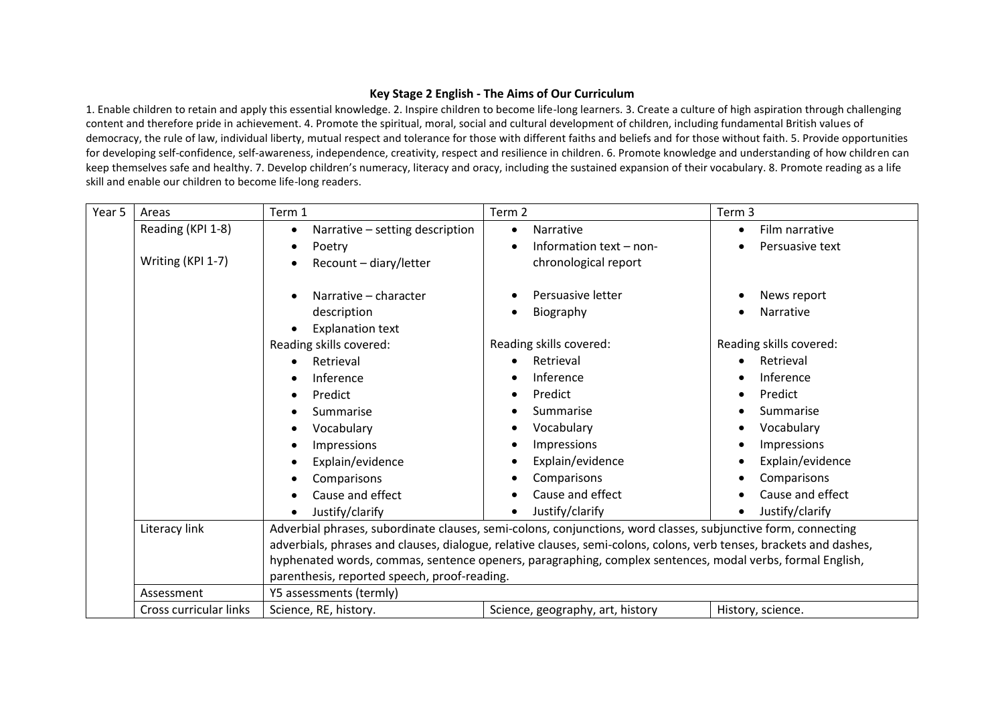## **Key Stage 2 English - The Aims of Our Curriculum**

1. Enable children to retain and apply this essential knowledge. 2. Inspire children to become life-long learners. 3. Create a culture of high aspiration through challenging content and therefore pride in achievement. 4. Promote the spiritual, moral, social and cultural development of children, including fundamental British values of democracy, the rule of law, individual liberty, mutual respect and tolerance for those with different faiths and beliefs and for those without faith. 5. Provide opportunities for developing self-confidence, self-awareness, independence, creativity, respect and resilience in children. 6. Promote knowledge and understanding of how children can keep themselves safe and healthy. 7. Develop children's numeracy, literacy and oracy, including the sustained expansion of their vocabulary. 8. Promote reading as a life skill and enable our children to become life-long readers.

| Year 5 | Areas                                                                                                               | Term 1                                                                                                        | Term 2                           | Term 3                        |  |  |
|--------|---------------------------------------------------------------------------------------------------------------------|---------------------------------------------------------------------------------------------------------------|----------------------------------|-------------------------------|--|--|
|        | Reading (KPI 1-8)                                                                                                   | Narrative - setting description<br>$\bullet$                                                                  | Narrative<br>$\bullet$           | Film narrative<br>٠           |  |  |
|        |                                                                                                                     | Poetry<br>$\bullet$                                                                                           | Information text - non-          | Persuasive text<br>$\bullet$  |  |  |
|        | Writing (KPI 1-7)                                                                                                   | Recount - diary/letter                                                                                        | chronological report             |                               |  |  |
|        |                                                                                                                     |                                                                                                               |                                  |                               |  |  |
|        |                                                                                                                     | Narrative - character<br>$\bullet$                                                                            | Persuasive letter                | News report                   |  |  |
|        |                                                                                                                     | description                                                                                                   | Biography                        | Narrative<br>$\bullet$        |  |  |
|        |                                                                                                                     | <b>Explanation text</b><br>$\bullet$                                                                          |                                  |                               |  |  |
|        |                                                                                                                     | Reading skills covered:                                                                                       | Reading skills covered:          | Reading skills covered:       |  |  |
|        |                                                                                                                     | Retrieval                                                                                                     | Retrieval                        | Retrieval                     |  |  |
|        |                                                                                                                     | Inference                                                                                                     | Inference                        | Inference                     |  |  |
|        |                                                                                                                     | Predict<br>٠                                                                                                  | Predict                          | Predict<br>$\bullet$          |  |  |
|        |                                                                                                                     | Summarise                                                                                                     | Summarise                        | Summarise<br>$\bullet$        |  |  |
|        |                                                                                                                     | Vocabulary<br>٠                                                                                               | Vocabulary                       | Vocabulary<br>$\bullet$       |  |  |
|        |                                                                                                                     | Impressions<br>$\bullet$                                                                                      | Impressions                      | Impressions<br>$\bullet$      |  |  |
|        |                                                                                                                     | Explain/evidence<br>$\bullet$                                                                                 | Explain/evidence                 | Explain/evidence<br>$\bullet$ |  |  |
|        |                                                                                                                     | Comparisons<br>$\bullet$                                                                                      | Comparisons                      | Comparisons                   |  |  |
|        |                                                                                                                     | Cause and effect                                                                                              | Cause and effect                 | Cause and effect              |  |  |
|        |                                                                                                                     | Justify/clarify                                                                                               | Justify/clarify                  | Justify/clarify               |  |  |
|        | Literacy link                                                                                                       | Adverbial phrases, subordinate clauses, semi-colons, conjunctions, word classes, subjunctive form, connecting |                                  |                               |  |  |
|        | adverbials, phrases and clauses, dialogue, relative clauses, semi-colons, colons, verb tenses, brackets and dashes, |                                                                                                               |                                  |                               |  |  |
|        |                                                                                                                     | hyphenated words, commas, sentence openers, paragraphing, complex sentences, modal verbs, formal English,     |                                  |                               |  |  |
|        |                                                                                                                     | parenthesis, reported speech, proof-reading.                                                                  |                                  |                               |  |  |
|        | Assessment                                                                                                          | Y5 assessments (termly)                                                                                       |                                  |                               |  |  |
|        | Cross curricular links                                                                                              | Science, RE, history.                                                                                         | Science, geography, art, history | History, science.             |  |  |